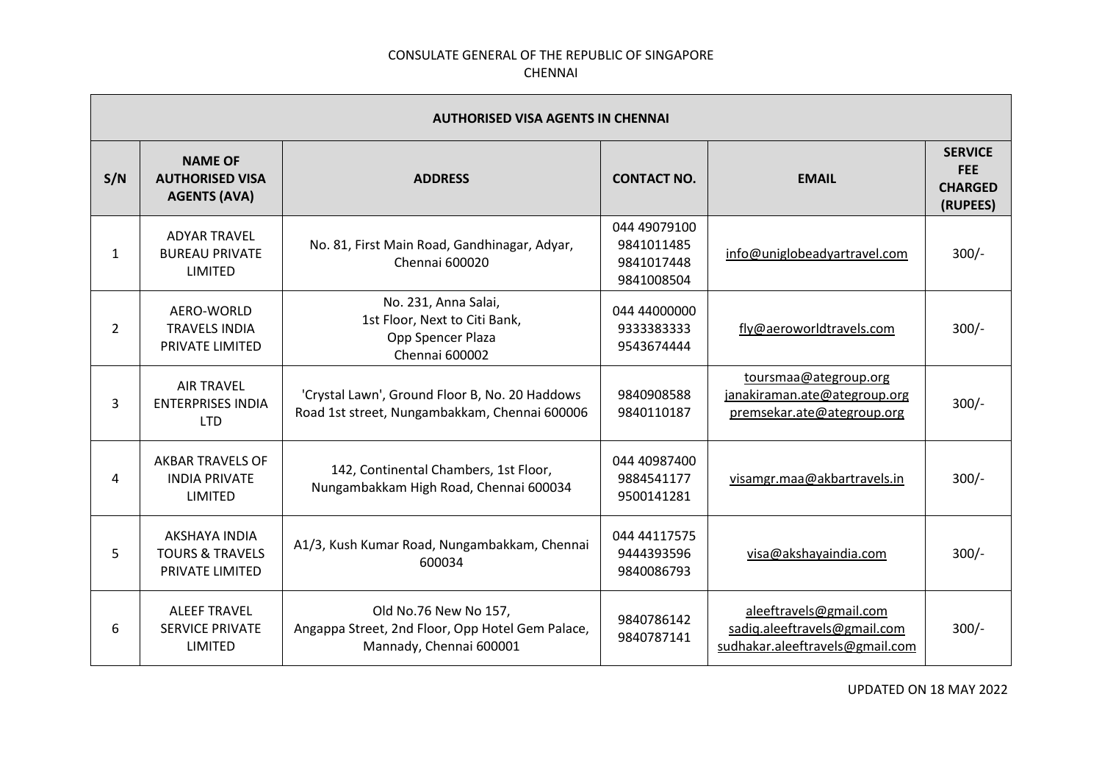| <b>AUTHORISED VISA AGENTS IN CHENNAI</b> |                                                                 |                                                                                                      |                                                        |                                                                                           |                                                            |
|------------------------------------------|-----------------------------------------------------------------|------------------------------------------------------------------------------------------------------|--------------------------------------------------------|-------------------------------------------------------------------------------------------|------------------------------------------------------------|
| S/N                                      | <b>NAME OF</b><br><b>AUTHORISED VISA</b><br><b>AGENTS (AVA)</b> | <b>ADDRESS</b>                                                                                       | <b>CONTACT NO.</b>                                     | <b>EMAIL</b>                                                                              | <b>SERVICE</b><br><b>FEE</b><br><b>CHARGED</b><br>(RUPEES) |
| 1                                        | <b>ADYAR TRAVEL</b><br><b>BUREAU PRIVATE</b><br><b>LIMITED</b>  | No. 81, First Main Road, Gandhinagar, Adyar,<br>Chennai 600020                                       | 044 49079100<br>9841011485<br>9841017448<br>9841008504 | info@uniglobeadyartravel.com                                                              | $300/-$                                                    |
| $\overline{2}$                           | AERO-WORLD<br><b>TRAVELS INDIA</b><br><b>PRIVATE LIMITED</b>    | No. 231, Anna Salai,<br>1st Floor, Next to Citi Bank,<br>Opp Spencer Plaza<br>Chennai 600002         | 044 44000000<br>9333383333<br>9543674444               | fly@aeroworldtravels.com                                                                  | $300/-$                                                    |
| 3                                        | <b>AIR TRAVEL</b><br><b>ENTERPRISES INDIA</b><br><b>LTD</b>     | 'Crystal Lawn', Ground Floor B, No. 20 Haddows<br>Road 1st street, Nungambakkam, Chennai 600006      | 9840908588<br>9840110187                               | toursmaa@ategroup.org<br>janakiraman.ate@ategroup.org<br>premsekar.ate@ategroup.org       | $300/-$                                                    |
| 4                                        | <b>AKBAR TRAVELS OF</b><br><b>INDIA PRIVATE</b><br>LIMITED      | 142, Continental Chambers, 1st Floor,<br>Nungambakkam High Road, Chennai 600034                      | 044 40987400<br>9884541177<br>9500141281               | visamgr.maa@akbartravels.in                                                               | $300/-$                                                    |
| 5                                        | AKSHAYA INDIA<br><b>TOURS &amp; TRAVELS</b><br>PRIVATE LIMITED  | A1/3, Kush Kumar Road, Nungambakkam, Chennai<br>600034                                               | 044 44117575<br>9444393596<br>9840086793               | visa@akshayaindia.com                                                                     | $300/-$                                                    |
| 6                                        | <b>ALEEF TRAVEL</b><br><b>SERVICE PRIVATE</b><br><b>LIMITED</b> | Old No.76 New No 157,<br>Angappa Street, 2nd Floor, Opp Hotel Gem Palace,<br>Mannady, Chennai 600001 | 9840786142<br>9840787141                               | aleeftravels@gmail.com<br>sadiq.aleeftravels@gmail.com<br>sudhakar.aleeftravels@gmail.com | $300/-$                                                    |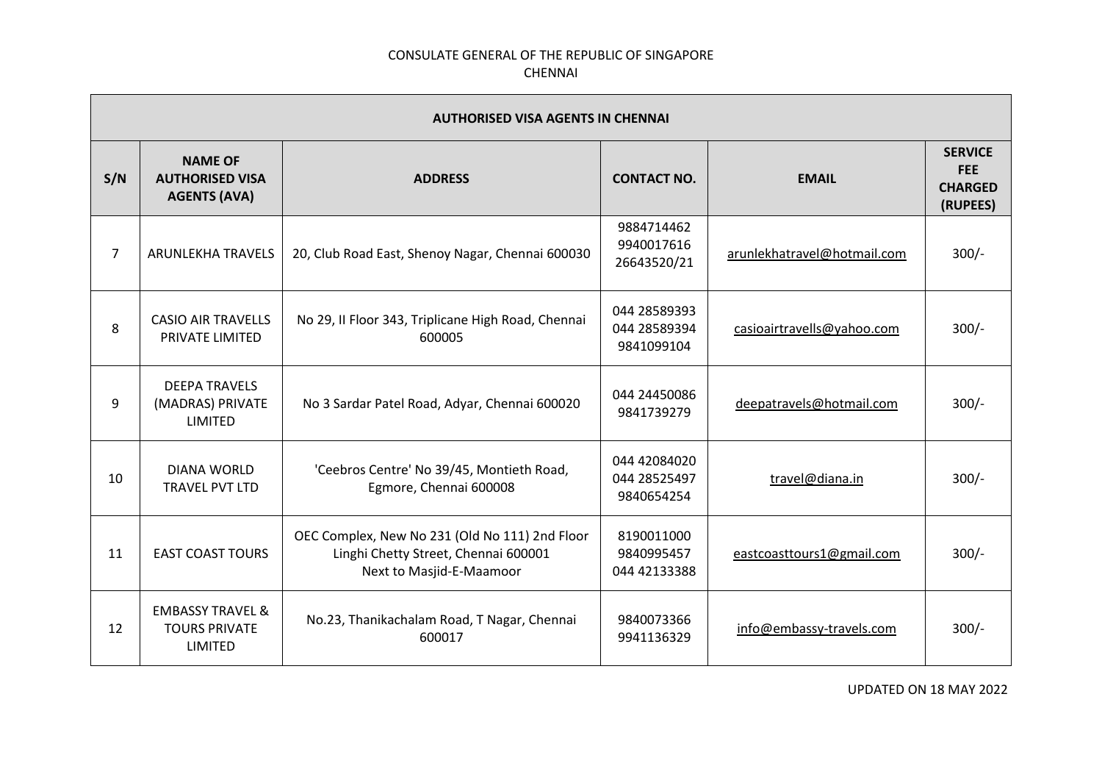|                | <b>AUTHORISED VISA AGENTS IN CHENNAI</b>                              |                                                                                                                    |                                            |                             |                                                            |  |
|----------------|-----------------------------------------------------------------------|--------------------------------------------------------------------------------------------------------------------|--------------------------------------------|-----------------------------|------------------------------------------------------------|--|
| S/N            | <b>NAME OF</b><br><b>AUTHORISED VISA</b><br><b>AGENTS (AVA)</b>       | <b>ADDRESS</b>                                                                                                     | <b>CONTACT NO.</b>                         | <b>EMAIL</b>                | <b>SERVICE</b><br><b>FEE</b><br><b>CHARGED</b><br>(RUPEES) |  |
| $\overline{7}$ | ARUNLEKHA TRAVELS                                                     | 20, Club Road East, Shenoy Nagar, Chennai 600030                                                                   | 9884714462<br>9940017616<br>26643520/21    | arunlekhatravel@hotmail.com | $300/-$                                                    |  |
| 8              | <b>CASIO AIR TRAVELLS</b><br>PRIVATE LIMITED                          | No 29, II Floor 343, Triplicane High Road, Chennai<br>600005                                                       | 044 28589393<br>044 28589394<br>9841099104 | casioairtravells@yahoo.com  | $300/-$                                                    |  |
| 9              | <b>DEEPA TRAVELS</b><br>(MADRAS) PRIVATE<br><b>LIMITED</b>            | No 3 Sardar Patel Road, Adyar, Chennai 600020                                                                      | 044 24450086<br>9841739279                 | deepatravels@hotmail.com    | $300/-$                                                    |  |
| 10             | <b>DIANA WORLD</b><br>TRAVEL PVT LTD                                  | 'Ceebros Centre' No 39/45, Montieth Road,<br>Egmore, Chennai 600008                                                | 044 42084020<br>044 28525497<br>9840654254 | travel@diana.in             | $300/-$                                                    |  |
| 11             | <b>EAST COAST TOURS</b>                                               | OEC Complex, New No 231 (Old No 111) 2nd Floor<br>Linghi Chetty Street, Chennai 600001<br>Next to Masjid-E-Maamoor | 8190011000<br>9840995457<br>044 42133388   | eastcoasttours1@gmail.com   | $300/-$                                                    |  |
| 12             | <b>EMBASSY TRAVEL &amp;</b><br><b>TOURS PRIVATE</b><br><b>LIMITED</b> | No.23, Thanikachalam Road, T Nagar, Chennai<br>600017                                                              | 9840073366<br>9941136329                   | info@embassy-travels.com    | $300/-$                                                    |  |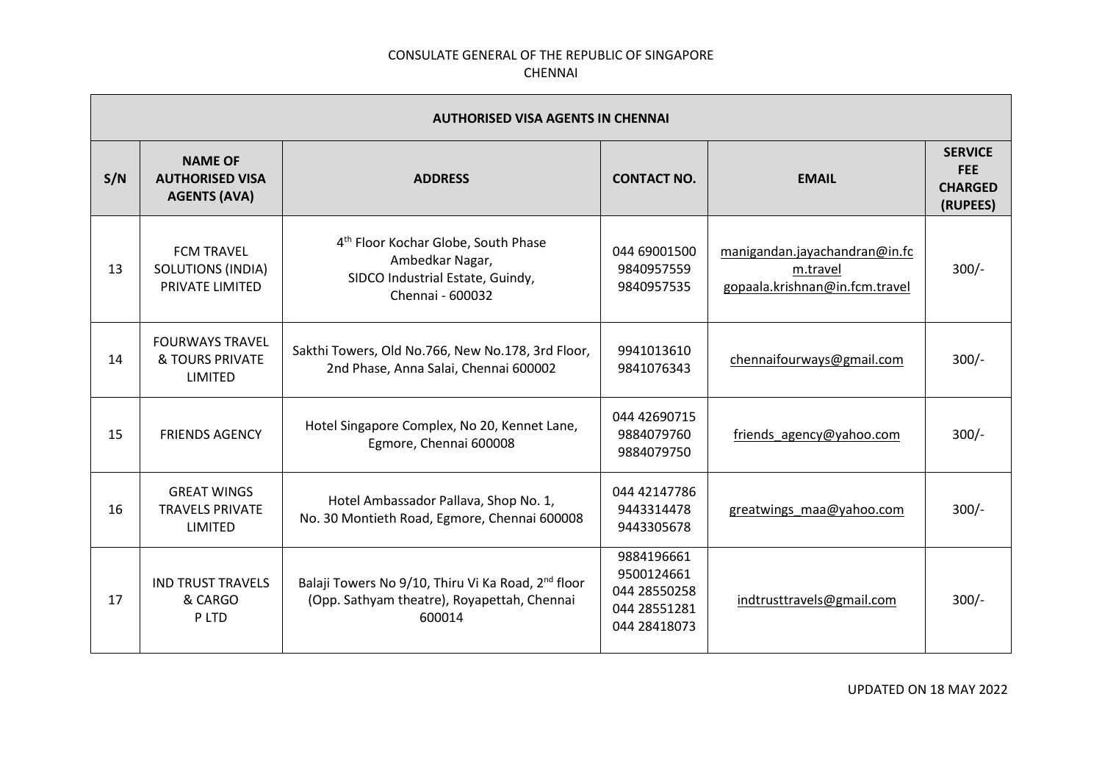|     | <b>AUTHORISED VISA AGENTS IN CHENNAI</b>                                |                                                                                                                            |                                                                          |                                                                             |                                                            |  |
|-----|-------------------------------------------------------------------------|----------------------------------------------------------------------------------------------------------------------------|--------------------------------------------------------------------------|-----------------------------------------------------------------------------|------------------------------------------------------------|--|
| S/N | <b>NAME OF</b><br><b>AUTHORISED VISA</b><br><b>AGENTS (AVA)</b>         | <b>ADDRESS</b>                                                                                                             | <b>CONTACT NO.</b>                                                       | <b>EMAIL</b>                                                                | <b>SERVICE</b><br><b>FEE</b><br><b>CHARGED</b><br>(RUPEES) |  |
| 13  | <b>FCM TRAVEL</b><br><b>SOLUTIONS (INDIA)</b><br><b>PRIVATE LIMITED</b> | 4 <sup>th</sup> Floor Kochar Globe, South Phase<br>Ambedkar Nagar,<br>SIDCO Industrial Estate, Guindy,<br>Chennai - 600032 | 044 69001500<br>9840957559<br>9840957535                                 | manigandan.jayachandran@in.fc<br>m.travel<br>gopaala.krishnan@in.fcm.travel | $300/-$                                                    |  |
| 14  | <b>FOURWAYS TRAVEL</b><br>& TOURS PRIVATE<br><b>LIMITED</b>             | Sakthi Towers, Old No.766, New No.178, 3rd Floor,<br>2nd Phase, Anna Salai, Chennai 600002                                 | 9941013610<br>9841076343                                                 | chennaifourways@gmail.com                                                   | $300/-$                                                    |  |
| 15  | <b>FRIENDS AGENCY</b>                                                   | Hotel Singapore Complex, No 20, Kennet Lane,<br>Egmore, Chennai 600008                                                     | 044 42690715<br>9884079760<br>9884079750                                 | friends agency@yahoo.com                                                    | $300/-$                                                    |  |
| 16  | <b>GREAT WINGS</b><br><b>TRAVELS PRIVATE</b><br>LIMITED                 | Hotel Ambassador Pallava, Shop No. 1,<br>No. 30 Montieth Road, Egmore, Chennai 600008                                      | 044 42147786<br>9443314478<br>9443305678                                 | greatwings maa@yahoo.com                                                    | $300/-$                                                    |  |
| 17  | <b>IND TRUST TRAVELS</b><br>& CARGO<br>P LTD                            | Balaji Towers No 9/10, Thiru Vi Ka Road, 2 <sup>nd</sup> floor<br>(Opp. Sathyam theatre), Royapettah, Chennai<br>600014    | 9884196661<br>9500124661<br>044 28550258<br>044 28551281<br>044 28418073 | indtrusttravels@gmail.com                                                   | $300/-$                                                    |  |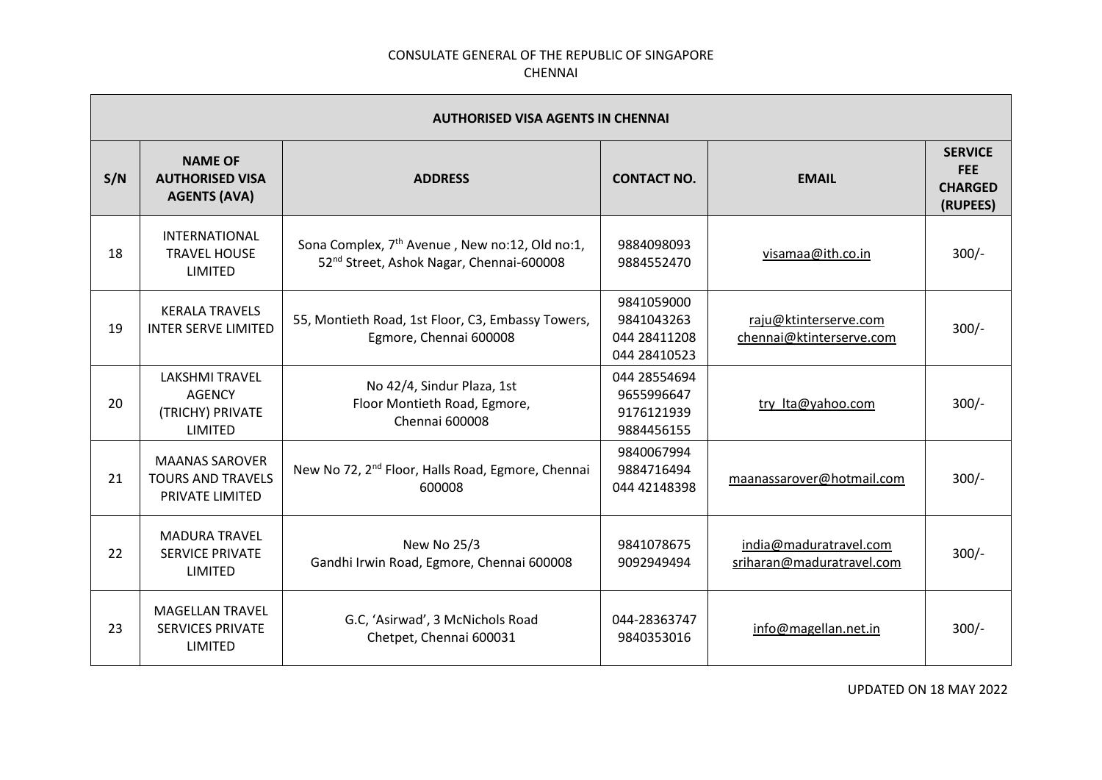| <b>AUTHORISED VISA AGENTS IN CHENNAI</b> |                                                                       |                                                                                                                    |                                                          |                                                     |                                                            |  |
|------------------------------------------|-----------------------------------------------------------------------|--------------------------------------------------------------------------------------------------------------------|----------------------------------------------------------|-----------------------------------------------------|------------------------------------------------------------|--|
| S/N                                      | <b>NAME OF</b><br><b>AUTHORISED VISA</b><br><b>AGENTS (AVA)</b>       | <b>ADDRESS</b>                                                                                                     | <b>CONTACT NO.</b>                                       | <b>EMAIL</b>                                        | <b>SERVICE</b><br><b>FEE</b><br><b>CHARGED</b><br>(RUPEES) |  |
| 18                                       | <b>INTERNATIONAL</b><br><b>TRAVEL HOUSE</b><br><b>LIMITED</b>         | Sona Complex, 7 <sup>th</sup> Avenue, New no:12, Old no:1,<br>52 <sup>nd</sup> Street, Ashok Nagar, Chennai-600008 | 9884098093<br>9884552470                                 | visamaa@ith.co.in                                   | $300/-$                                                    |  |
| 19                                       | <b>KERALA TRAVELS</b><br><b>INTER SERVE LIMITED</b>                   | 55, Montieth Road, 1st Floor, C3, Embassy Towers,<br>Egmore, Chennai 600008                                        | 9841059000<br>9841043263<br>044 28411208<br>044 28410523 | raju@ktinterserve.com<br>chennai@ktinterserve.com   | $300/-$                                                    |  |
| 20                                       | <b>LAKSHMI TRAVEL</b><br><b>AGENCY</b><br>(TRICHY) PRIVATE<br>LIMITED | No 42/4, Sindur Plaza, 1st<br>Floor Montieth Road, Egmore,<br><b>Chennai 600008</b>                                | 044 28554694<br>9655996647<br>9176121939<br>9884456155   | try Ita@yahoo.com                                   | $300/-$                                                    |  |
| 21                                       | <b>MAANAS SAROVER</b><br><b>TOURS AND TRAVELS</b><br>PRIVATE LIMITED  | New No 72, 2 <sup>nd</sup> Floor, Halls Road, Egmore, Chennai<br>600008                                            | 9840067994<br>9884716494<br>044 42148398                 | maanassarover@hotmail.com                           | $300/-$                                                    |  |
| 22                                       | <b>MADURA TRAVEL</b><br><b>SERVICE PRIVATE</b><br><b>LIMITED</b>      | New No 25/3<br>Gandhi Irwin Road, Egmore, Chennai 600008                                                           | 9841078675<br>9092949494                                 | india@maduratravel.com<br>sriharan@maduratravel.com | $300/-$                                                    |  |
| 23                                       | <b>MAGELLAN TRAVEL</b><br><b>SERVICES PRIVATE</b><br><b>LIMITED</b>   | G.C, 'Asirwad', 3 McNichols Road<br>Chetpet, Chennai 600031                                                        | 044-28363747<br>9840353016                               | info@magellan.net.in                                | $300/-$                                                    |  |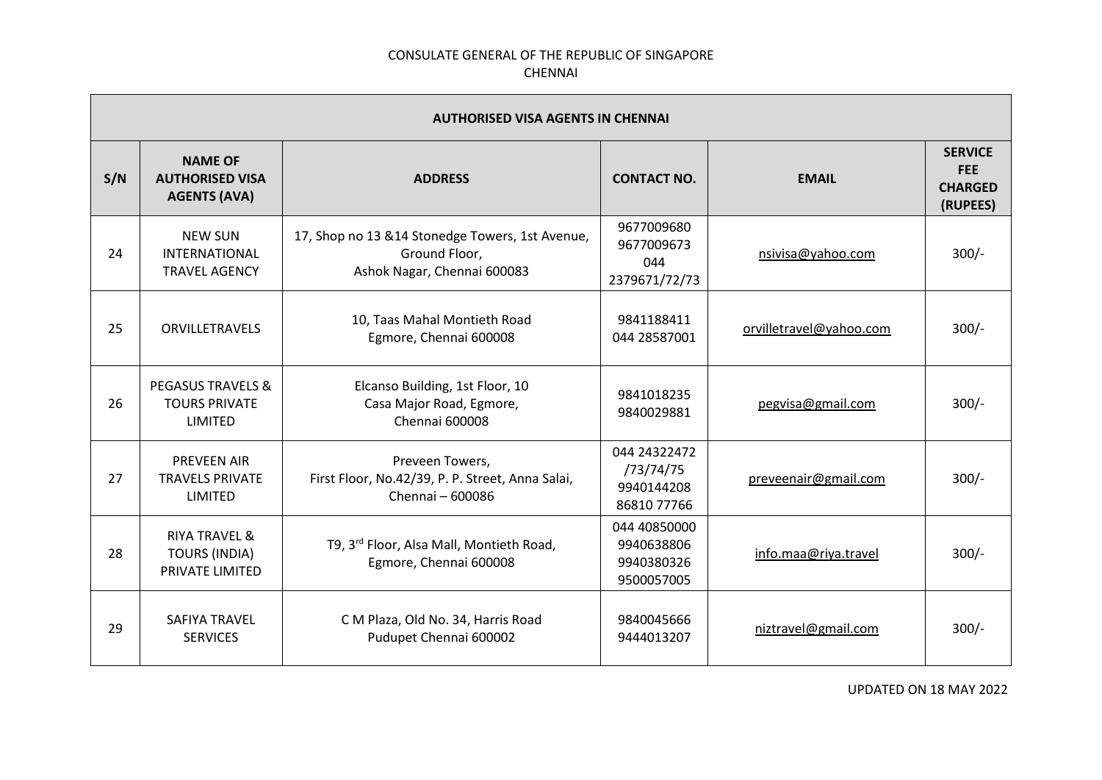| <b>AUTHORISED VISA AGENTS IN CHENNAI</b> |                                                                            |                                                                                                  |                                                        |                         |                                                            |  |
|------------------------------------------|----------------------------------------------------------------------------|--------------------------------------------------------------------------------------------------|--------------------------------------------------------|-------------------------|------------------------------------------------------------|--|
| S/N                                      | <b>NAME OF</b><br><b>AUTHORISED VISA</b><br><b>AGENTS (AVA)</b>            | <b>ADDRESS</b>                                                                                   | <b>CONTACT NO.</b>                                     | <b>EMAIL</b>            | <b>SERVICE</b><br><b>FEE</b><br><b>CHARGED</b><br>(RUPEES) |  |
| 24                                       | <b>NEW SUN</b><br>INTERNATIONAL<br><b>TRAVEL AGENCY</b>                    | 17, Shop no 13 & 14 Stonedge Towers, 1st Avenue,<br>Ground Floor,<br>Ashok Nagar, Chennai 600083 | 9677009680<br>9677009673<br>044<br>2379671/72/73       | nsivisa@yahoo.com       | $300/-$                                                    |  |
| 25                                       | <b>ORVILLETRAVELS</b>                                                      | 10, Taas Mahal Montieth Road<br>Egmore, Chennai 600008                                           | 9841188411<br>044 28587001                             | orvilletravel@yahoo.com | $300/-$                                                    |  |
| 26                                       | <b>PEGASUS TRAVELS &amp;</b><br><b>TOURS PRIVATE</b><br><b>LIMITED</b>     | Elcanso Building, 1st Floor, 10<br>Casa Major Road, Egmore,<br>Chennai 600008                    | 9841018235<br>9840029881                               | pegvisa@gmail.com       | $300/-$                                                    |  |
| 27                                       | <b>PREVEEN AIR</b><br><b>TRAVELS PRIVATE</b><br>LIMITED                    | Preveen Towers,<br>First Floor, No.42/39, P. P. Street, Anna Salai,<br>Chennai - 600086          | 044 24322472<br>/73/74/75<br>9940144208<br>86810 77766 | preveenair@gmail.com    | $300/-$                                                    |  |
| 28                                       | <b>RIYA TRAVEL &amp;</b><br><b>TOURS (INDIA)</b><br><b>PRIVATE LIMITED</b> | T9, 3 <sup>rd</sup> Floor, Alsa Mall, Montieth Road,<br>Egmore, Chennai 600008                   | 044 40850000<br>9940638806<br>9940380326<br>9500057005 | info.maa@riya.travel    | $300/-$                                                    |  |
| 29                                       | <b>SAFIYA TRAVEL</b><br><b>SERVICES</b>                                    | C M Plaza, Old No. 34, Harris Road<br>Pudupet Chennai 600002                                     | 9840045666<br>9444013207                               | niztravel@gmail.com     | $300/-$                                                    |  |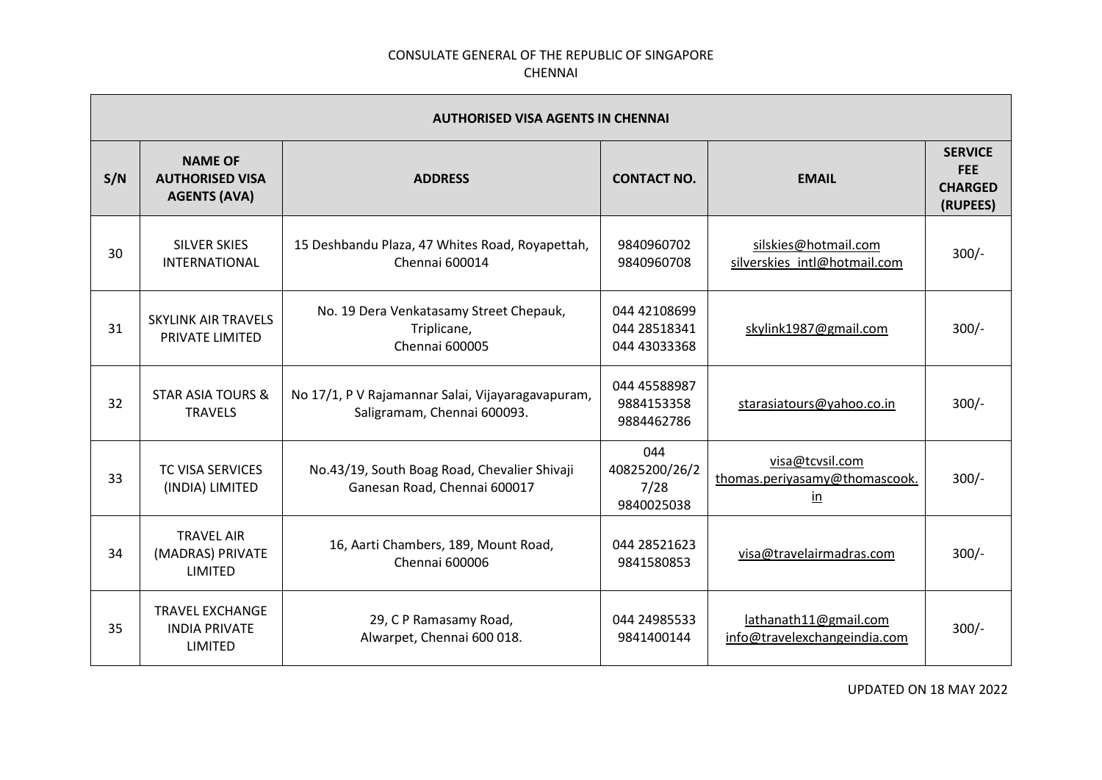| <b>AUTHORISED VISA AGENTS IN CHENNAI</b> |                                                                  |                                                                                  |                                              |                                                                             |                                                            |  |
|------------------------------------------|------------------------------------------------------------------|----------------------------------------------------------------------------------|----------------------------------------------|-----------------------------------------------------------------------------|------------------------------------------------------------|--|
| S/N                                      | <b>NAME OF</b><br><b>AUTHORISED VISA</b><br><b>AGENTS (AVA)</b>  | <b>ADDRESS</b>                                                                   | <b>CONTACT NO.</b>                           | <b>EMAIL</b>                                                                | <b>SERVICE</b><br><b>FEE</b><br><b>CHARGED</b><br>(RUPEES) |  |
| 30                                       | <b>SILVER SKIES</b><br><b>INTERNATIONAL</b>                      | 15 Deshbandu Plaza, 47 Whites Road, Royapettah,<br>Chennai 600014                | 9840960702<br>9840960708                     | silskies@hotmail.com<br>silverskies intl@hotmail.com                        | $300/-$                                                    |  |
| 31                                       | <b>SKYLINK AIR TRAVELS</b><br>PRIVATE LIMITED                    | No. 19 Dera Venkatasamy Street Chepauk,<br>Triplicane,<br><b>Chennai 600005</b>  | 044 42108699<br>044 28518341<br>044 43033368 | skylink1987@gmail.com                                                       | $300/-$                                                    |  |
| 32                                       | <b>STAR ASIA TOURS &amp;</b><br><b>TRAVELS</b>                   | No 17/1, P V Rajamannar Salai, Vijayaragavapuram,<br>Saligramam, Chennai 600093. | 044 45588987<br>9884153358<br>9884462786     | starasiatours@yahoo.co.in                                                   | $300/-$                                                    |  |
| 33                                       | <b>TC VISA SERVICES</b><br>(INDIA) LIMITED                       | No.43/19, South Boag Road, Chevalier Shivaji<br>Ganesan Road, Chennai 600017     | 044<br>40825200/26/2<br>7/28<br>9840025038   | visa@tcvsil.com<br>thomas.periyasamy@thomascook.<br>$\underline{\text{in}}$ | $300/-$                                                    |  |
| 34                                       | <b>TRAVEL AIR</b><br>(MADRAS) PRIVATE<br>LIMITED                 | 16, Aarti Chambers, 189, Mount Road,<br>Chennai 600006                           | 044 28521623<br>9841580853                   | visa@travelairmadras.com                                                    | $300/-$                                                    |  |
| 35                                       | <b>TRAVEL EXCHANGE</b><br><b>INDIA PRIVATE</b><br><b>LIMITED</b> | 29, C P Ramasamy Road,<br>Alwarpet, Chennai 600 018.                             | 044 24985533<br>9841400144                   | lathanath11@gmail.com<br>info@travelexchangeindia.com                       | $300/-$                                                    |  |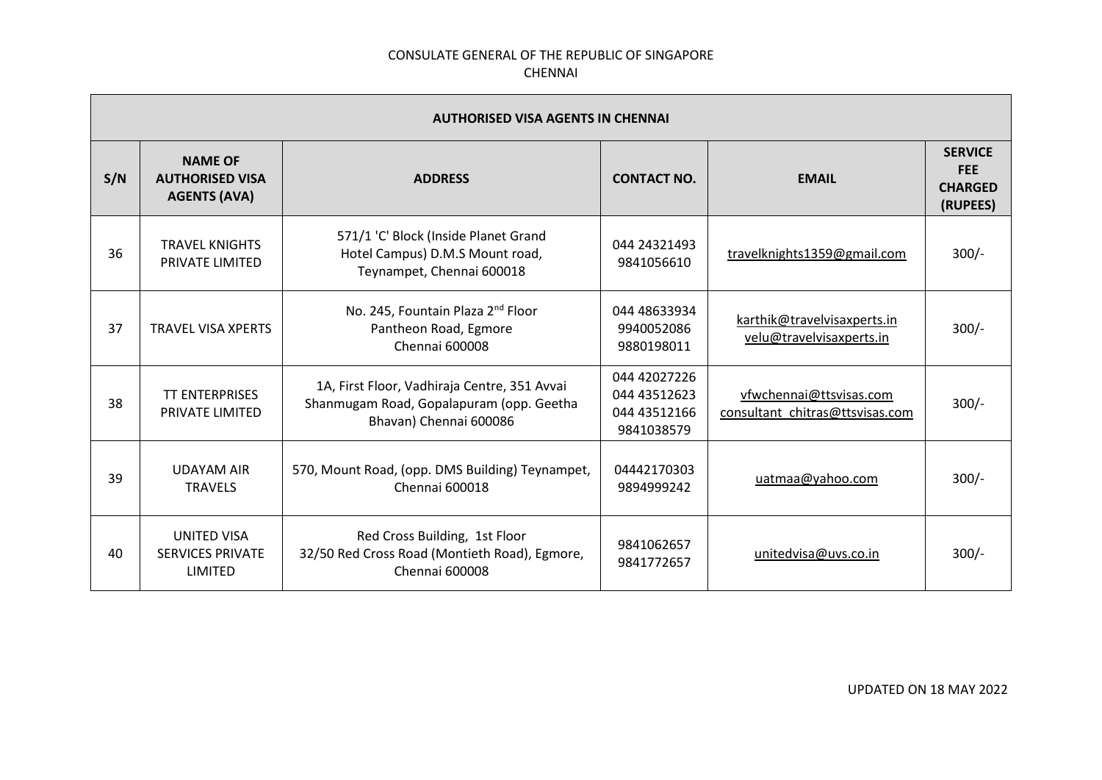| <b>AUTHORISED VISA AGENTS IN CHENNAI</b> |                                                                 |                                                                                                                    |                                                            |                                                            |                                                            |
|------------------------------------------|-----------------------------------------------------------------|--------------------------------------------------------------------------------------------------------------------|------------------------------------------------------------|------------------------------------------------------------|------------------------------------------------------------|
| S/N                                      | <b>NAME OF</b><br><b>AUTHORISED VISA</b><br><b>AGENTS (AVA)</b> | <b>ADDRESS</b>                                                                                                     | <b>CONTACT NO.</b>                                         | <b>EMAIL</b>                                               | <b>SERVICE</b><br><b>FEE</b><br><b>CHARGED</b><br>(RUPEES) |
| 36                                       | <b>TRAVEL KNIGHTS</b><br>PRIVATE LIMITED                        | 571/1 'C' Block (Inside Planet Grand<br>Hotel Campus) D.M.S Mount road,<br>Teynampet, Chennai 600018               | 044 24321493<br>9841056610                                 | travelknights1359@gmail.com                                | $300/-$                                                    |
| 37                                       | <b>TRAVEL VISA XPERTS</b>                                       | No. 245, Fountain Plaza 2 <sup>nd</sup> Floor<br>Pantheon Road, Egmore<br>Chennai 600008                           | 044 48633934<br>9940052086<br>9880198011                   | karthik@travelvisaxperts.in<br>velu@travelvisaxperts.in    | $300/-$                                                    |
| 38                                       | <b>TT ENTERPRISES</b><br>PRIVATE LIMITED                        | 1A, First Floor, Vadhiraja Centre, 351 Avvai<br>Shanmugam Road, Gopalapuram (opp. Geetha<br>Bhavan) Chennai 600086 | 044 42027226<br>044 43512623<br>044 43512166<br>9841038579 | vfwchennai@ttsvisas.com<br>consultant_chitras@ttsvisas.com | $300/-$                                                    |
| 39                                       | <b>UDAYAM AIR</b><br><b>TRAVELS</b>                             | 570, Mount Road, (opp. DMS Building) Teynampet,<br>Chennai 600018                                                  | 04442170303<br>9894999242                                  | uatmaa@yahoo.com                                           | $300/-$                                                    |
| 40                                       | <b>UNITED VISA</b><br><b>SERVICES PRIVATE</b><br>LIMITED        | Red Cross Building, 1st Floor<br>32/50 Red Cross Road (Montieth Road), Egmore,<br>Chennai 600008                   | 9841062657<br>9841772657                                   | unitedvisa@uvs.co.in                                       | $300/-$                                                    |